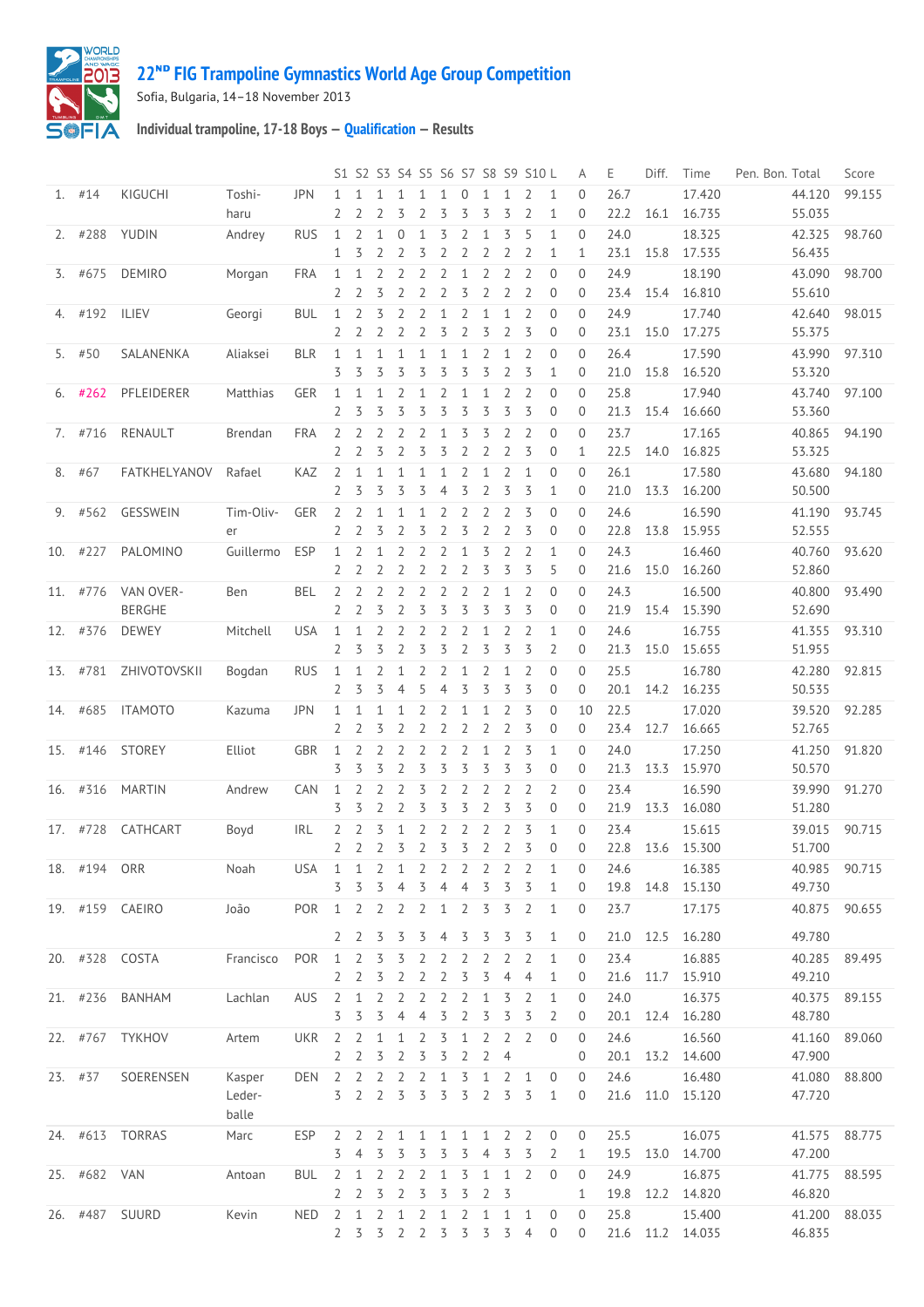



Sofia, Bulgaria, 14–18 November 2013

**Individual trampoline, 17-18 Boys — [Qualification](http://192.168.1.7:9001/stage/23) — Results**

|              |                            |           |            |                                  |                     |                |                |                     |                     |                     |                     |                   | S1 S2 S3 S4 S5 S6 S7 S8 S9 S10 L |                | Α                | Ε            | Diff. | Time                  | Pen. Bon. Total | Score  |
|--------------|----------------------------|-----------|------------|----------------------------------|---------------------|----------------|----------------|---------------------|---------------------|---------------------|---------------------|-------------------|----------------------------------|----------------|------------------|--------------|-------|-----------------------|-----------------|--------|
| $1.$ #14     | KIGUCHI                    | Toshi-    | <b>JPN</b> | $\mathbf{1}$                     | $\mathbf{1}$        | 1              | $\mathbf{1}$   | $\mathbf{1}$        | $\mathbf{1}$        | $\mathbf{0}$        | 1                   | 1                 | $\overline{2}$                   | $\mathbf{1}$   | $\Omega$         | 26.7         |       | 17.420                | 44.120          | 99.155 |
|              |                            | haru      |            | $\overline{2}$                   | 2                   | $\overline{2}$ | 3              | $\overline{2}$      | 3                   | 3                   | 3                   | 3                 | $\overline{2}$                   | 1              | $\mathbf{0}$     | 22.2         | 16.1  | 16.735                | 55.035          |        |
| $2.$ #288    | YUDIN                      | Andrey    | <b>RUS</b> | $\mathbf{1}$                     | 2                   | $\mathbf{1}$   | $\overline{0}$ | $\mathbf{1}$        | 3                   | 2                   | 1                   | 3                 | 5                                | 1              | $\mathbf{0}$     | 24.0         |       | 18.325                | 42.325          | 98.760 |
|              |                            |           |            | 1                                | 3                   | $\overline{2}$ | 2              | 3                   | $\overline{2}$      | $\overline{2}$      | $\overline{2}$      | $\overline{2}$    | $\overline{2}$                   | 1              | 1                | 23.1         | 15.8  | 17.535                | 56.435          |        |
| 3. #675      | <b>DEMIRO</b>              | Morgan    | <b>FRA</b> | $\mathbf{1}$                     | 1                   | $\overline{2}$ | $\overline{2}$ | $\overline{2}$      | $\overline{2}$      | $\mathbf{1}$        | $\overline{2}$      | $\overline{2}$    | $\overline{2}$                   | $\Omega$       | $\Omega$         | 24.9         |       | 18.190                | 43.090          | 98.700 |
|              |                            |           |            | 2                                | $\overline{2}$      | 3              | 2              | 2                   | 2                   | 3                   | 2                   | $\overline{2}$    | 2                                | $\mathbf{0}$   | $\Omega$         | 23.4         | 15.4  | 16.810                | 55.610          |        |
| 4. #192      | ILIEV                      | Georgi    | <b>BUL</b> | $\mathbf{1}$                     | 2                   | 3              | 2              | $\overline{2}$      | 1                   | $\overline{2}$      | 1                   | $\mathbf{1}$      | $\overline{2}$                   | $\mathbf{0}$   | $\Omega$         | 24.9         |       | 17.740                | 42.640          | 98.015 |
|              |                            |           |            | 2                                | 2                   | 2              | 2              | 2                   | 3                   | $\overline{2}$      | 3                   | $\overline{2}$    | 3                                | $\mathbf 0$    | $\overline{0}$   | 23.1         | 15.0  | 17.275                | 55.375          |        |
| 5. $#50$     | SALANENKA                  | Aliaksei  | <b>BLR</b> | $\mathbf{1}$                     | $\mathbf{1}$        | $\mathbf{1}$   | $\mathbf{1}$   | $\mathbf{1}$        | 1                   | $\mathbf{1}$        | 2                   | $\mathbf{1}$      | 2                                | 0              | $\Omega$         | 26.4         |       | 17.590                | 43.990          | 97.310 |
|              |                            |           |            | 3                                | 3                   | 3              | 3              | 3                   | 3                   | 3                   | 3                   | $\overline{2}$    | 3                                | 1              | $\overline{0}$   | 21.0         | 15.8  | 16.520                | 53.320          |        |
| $6.$ #262    | PFLEIDERER                 | Matthias  | GER        | $\mathbf{1}$                     | $\mathbf{1}$        | 1              | 2              | $\mathbf{1}$        | $\overline{2}$      | $\mathbf{1}$        | 1                   | 2                 | 2                                | $\mathbf{0}$   | $\Omega$         | 25.8         |       | 17.940                | 43.740          | 97.100 |
|              |                            |           |            | 2                                | 3                   | 3              | 3              | 3                   | 3                   | 3                   | 3                   | 3                 | 3                                | $\mathbf 0$    | $\overline{0}$   | 21.3         | 15.4  | 16.660                | 53.360          |        |
| 7. #716      | RENAULT                    | Brendan   | <b>FRA</b> | $\overline{2}$                   | 2                   | 2              | 2              | $\overline{2}$      | 1                   | 3                   | 3                   | $\overline{2}$    | 2                                | $\mathbf{0}$   | $\Omega$         | 23.7         |       | 17.165                | 40.865          | 94.190 |
|              |                            |           |            | $\overline{2}$                   | 2                   | 3              | $\overline{2}$ | 3                   | 3                   | $\overline{2}$      | $\overline{2}$      | 2                 | 3                                | 0              | 1                | 22.5         | 14.0  | 16.825                | 53.325          |        |
| 8. #67       | FATKHELYANOV               | Rafael    | KAZ        | 2                                | $\mathbf{1}$        | $\mathbf{1}$   | $\mathbf{1}$   | $\mathbf{1}$        | $\mathbf{1}$        | 2                   | $\mathbf{1}$        | 2                 | $\mathbf{1}$                     | $\mathbf{0}$   | $\Omega$         | 26.1         |       | 17.580                | 43.680          | 94.180 |
|              |                            |           |            | 2                                | 3                   | 3              | 3              | 3                   | 4                   | 3                   | $\overline{2}$      | 3                 | 3                                | $\mathbf{1}$   | $\overline{0}$   | 21.0         | 13.3  | 16.200                | 50.500          |        |
| 9. #562      | GESSWEIN                   | Tim-Oliv- | GER        | 2                                | 2                   | 1              | $\mathbf{1}$   | $\mathbf{1}$        | 2                   | 2                   | 2                   | 2                 | 3                                | $\mathbf{0}$   | $\Omega$         | 24.6         |       | 16.590                | 41.190          | 93.745 |
|              |                            | er        |            | 2                                | 2                   | 3              | $\overline{2}$ | 3                   | 2                   | 3                   | $\overline{2}$      | $\overline{2}$    | 3                                | $\mathbf{0}$   | $\overline{0}$   | 22.8         | 13.8  | 15.955                | 52.555          |        |
| 10. #227     | PALOMINO                   | Guillermo | <b>ESP</b> | $\mathbf{1}$                     | 2                   | 1              | $\overline{2}$ | $\overline{2}$      | 2                   | $\mathbf{1}$        | 3                   | 2                 | $\overline{2}$                   | $\mathbf{1}$   | $\Omega$         | 24.3         |       | 16.460                | 40.760          | 93.620 |
|              |                            |           |            | 2                                | 2                   | $\overline{2}$ | 2              | $\overline{2}$      | 2                   | $\overline{2}$      | 3                   | 3                 | 3                                | 5              | $\overline{0}$   | 21.6         | 15.0  | 16.260                | 52.860          |        |
|              |                            |           |            |                                  |                     |                |                |                     |                     |                     |                     |                   |                                  | $\Omega$       | $\Omega$         |              |       |                       | 40.800          | 93.490 |
| 11. #776     | VAN OVER-<br><b>BERGHE</b> | Ben       | <b>BEL</b> | $\overline{2}$<br>$\overline{2}$ | 2<br>2              | 2<br>3         | 2<br>2         | 2<br>3              | $\overline{2}$<br>3 | $\overline{2}$<br>3 | $\overline{2}$<br>3 | $\mathbf{1}$<br>3 | 2<br>3                           | $\mathbf{0}$   | $\Omega$         | 24.3<br>21.9 |       | 16.500<br>15.4 15.390 | 52.690          |        |
|              |                            |           |            |                                  |                     |                |                |                     |                     |                     |                     |                   |                                  |                |                  |              |       |                       |                 |        |
| 12. #376     | <b>DEWEY</b>               | Mitchell  | <b>USA</b> | $\mathbf{1}$                     | $\mathbf{1}$        | 2<br>3         | 2              | $\overline{2}$<br>3 | 2<br>3              | 2                   | $\mathbf{1}$        | 2                 | 2                                | $\mathbf{1}$   | $\Omega$         | 24.6<br>21.3 |       | 16.755                | 41.355          | 93.310 |
|              |                            |           |            | 2                                | 3                   |                | 2              |                     |                     | $\overline{2}$      | 3                   | 3                 | 3                                | 2              | $\overline{0}$   |              | 15.0  | 15.655                | 51.955          |        |
| 13. #781     | ZHIVOTOVSKII               | Bogdan    | <b>RUS</b> | $\mathbf{1}$                     | 1                   | 2              | $\mathbf{1}$   | 2                   | 2                   | $\mathbf{1}$        | 2                   | $\mathbf{1}$      | 2                                | $\mathbf{0}$   | $\overline{0}$   | 25.5         |       | 16.780                | 42.280          | 92.815 |
|              |                            |           |            | 2                                | 3                   | 3              | $\overline{4}$ | 5                   | $\overline{4}$      | 3                   | 3                   | 3                 | 3                                | $\mathbf{0}$   | $\mathbf{0}$     | 20.1         | 14.2  | 16.235                | 50.535          |        |
| 14. #685     | <b>ITAMOTO</b>             | Kazuma    | <b>JPN</b> | 1                                | 1                   | 1              | $\mathbf{1}$   | $\overline{2}$      | 2                   | $\mathbf{1}$        | $\mathbf{1}$        | 2                 | 3                                | $\mathbf{0}$   | 10               | 22.5         |       | 17.020                | 39.520          | 92.285 |
|              |                            |           |            | 2                                | 2                   | 3              | 2              | $\overline{2}$      | 2                   | 2                   | $\overline{2}$      | 2                 | 3                                | 0              | $\mathbf{0}$     | 23.4         | 12.7  | 16.665                | 52.765          |        |
| 15. #146     | <b>STOREY</b>              | Elliot    | GBR        | $\mathbf{1}$                     | 2                   | $\overline{2}$ | 2              | $\overline{2}$      | $\overline{2}$      | $\overline{2}$      | $\mathbf{1}$        | $\overline{2}$    | 3                                | $\mathbf{1}$   | $\Omega$         | 24.0         |       | 17.250                | 41.250          | 91.820 |
|              |                            |           |            | 3                                | 3                   | 3              | 2              | 3                   | 3                   | 3                   | 3                   | 3                 | 3                                | $\mathbf{0}$   | $\overline{0}$   | 21.3         | 13.3  | 15.970                | 50.570          |        |
| 16. #316     | <b>MARTIN</b>              | Andrew    | CAN        | $\mathbf{1}$                     | 2                   | $\overline{2}$ | $\overline{2}$ | 3                   | $\overline{2}$      | $\overline{2}$      | $\overline{2}$      | $\overline{2}$    | 2                                | $\overline{2}$ | $\mathbf{0}$     | 23.4         |       | 16.590                | 39.990          | 91.270 |
|              |                            |           |            | 3                                | 3                   | $\overline{2}$ | $\overline{2}$ | 3                   | 3                   | 3                   | $\overline{2}$      | 3                 | 3                                | $\mathbf 0$    | $\mathbf{0}$     | 21.9         | 13.3  | 16.080                | 51.280          |        |
| 17. #728     | CATHCART                   | Boyd      | <b>IRL</b> | 2                                | 2                   | 3              | 1              | 2                   | 2                   | 2                   | 2                   | 2                 | 3                                | 1              | $\Omega$         | 23.4         |       | 15.615                | 39.015          | 90.715 |
|              |                            |           |            | 2 <sub>2</sub>                   |                     | 2              | 3              | 2 <sub>5</sub>      |                     | $\overline{3}$      | 2 <sub>2</sub>      |                   | $\overline{3}$                   | $\mathbf{0}$   | $\Omega$         | 22.8         |       | 13.6 15.300           | 51.700          |        |
|              | 18. #194 ORR Noah          |           | USA        | $\mathbf 1$                      | $1\,$               | $\overline{2}$ | $\mathbf{1}$   |                     |                     | 2 2 2 2 2 2         |                     |                   |                                  | $\mathbf{1}$   | $\boldsymbol{0}$ | 24.6         |       | 16.385                | 40.985 90.715   |        |
|              |                            |           |            | 3                                | 3                   | 3              | 4              | 3                   | $\overline{4}$      | $\overline{4}$      | 3                   | 3                 | 3                                | 1              | 0                | 19.8         | 14.8  | 15.130                | 49.730          |        |
|              | 19. #159 CAEIRO            | João      | <b>POR</b> | $1\quad 2$                       |                     | $\overline{2}$ | $\overline{2}$ | $\overline{2}$      | $\mathbf{1}$        | $\overline{2}$      | 3                   | 3                 | 2                                | $\mathbf{1}$   | 0                | 23.7         |       | 17.175                | 40.875 90.655   |        |
|              |                            |           |            |                                  | 2 <sub>2</sub>      | 3              | 3              | 3                   | 4                   | $\overline{3}$      | 3                   | 3                 | $\overline{3}$                   | 1              | 0                | 21.0         |       | 12.5 16.280           | 49.780          |        |
|              |                            |           |            |                                  |                     |                |                |                     |                     |                     |                     |                   |                                  |                |                  |              |       |                       |                 |        |
|              | 20. #328 COSTA             | Francisco | POR        | 1                                | $\overline{2}$      | 3              | 3              | 2                   | 2                   | 2                   | 2                   | 2                 | 2                                | 1              | $\overline{0}$   | 23.4         |       | 16.885<br>11.7 15.910 | 40.285          | 89.495 |
|              |                            |           |            | 2                                | $\overline{2}$      | 3              | $\overline{2}$ | $\overline{2}$      | $\overline{2}$      | 3                   | 3                   | $\overline{4}$    | $\overline{4}$                   | 1              | 0                | 21.6         |       |                       | 49.210          |        |
| 21. #236     | <b>BANHAM</b>              | Lachlan   | AUS        | $\overline{2}$                   | 1                   | 2              | 2              | 2                   | 2                   | 2                   | 1                   | 3                 | 2                                | 1              | 0                | 24.0         |       | 16.375                | 40.375          | 89.155 |
|              |                            |           |            | 3                                | 3                   | 3              | 4              | 4                   | 3                   | $\overline{2}$      | 3                   | 3                 | 3                                | 2              | 0                | 20.1         |       | 12.4 16.280           | 48.780          |        |
|              | 22. #767 TYKHOV            | Artem     | <b>UKR</b> | $\overline{2}$                   | 2                   | 1              | 1              | 2                   | 3                   | $\mathbf{1}$        | 2                   | 2                 | 2                                | 0              | 0                | 24.6         |       | 16.560                | 41.160          | 89.060 |
|              |                            |           |            | $\mathbf{2}$                     | 2                   | $\overline{3}$ | 2              | 3                   | 3                   | $\overline{2}$      | 2                   | $\overline{4}$    |                                  |                | 0                | 20.1         |       | 13.2 14.600           | 47.900          |        |
| 23. #37      | SOERENSEN                  | Kasper    | <b>DEN</b> | $\overline{2}$                   | $\overline{2}$      | $\overline{2}$ | 2              | $\overline{2}$      | $\mathbf{1}$        | 3                   | $1\,$               | 2                 | 1                                | $\mathbf 0$    | 0                | 24.6         |       | 16.480                | 41.080          | 88.800 |
|              |                            | Leder-    |            |                                  | 3 <sup>2</sup>      | $\overline{2}$ | 3              | 3                   | 3                   | 3                   | $\overline{2}$      | 3                 | 3                                | 1              | $\mathbf{0}$     | 21.6         |       | 11.0 15.120           | 47.720          |        |
|              |                            | balle     |            |                                  |                     |                |                |                     |                     |                     |                     |                   |                                  |                |                  |              |       |                       |                 |        |
|              | 24. #613 TORRAS            | Marc      | ESP        | $\mathbf{2}$                     | 2                   | 2              | 1              | $\mathbf{1}$        | $\mathbf{1}$        | $\mathbf{1}$        | $\mathbf{1}$        | 2                 | 2                                | $\mathbf 0$    | $\overline{0}$   | 25.5         |       | 16.075                | 41.575          | 88.775 |
|              |                            |           |            | 3                                | $\overline{4}$      | 3              | 3              | 3                   | 3                   | 3                   | $\overline{4}$      | 3                 | 3                                | 2              | 1                | 19.5         |       | 13.0 14.700           | 47.200          |        |
| 25. #682 VAN |                            | Antoan    | <b>BUL</b> | 2                                | 1                   | 2              | 2              | 2                   | 1                   | 3                   | 1                   | $\mathbf{1}$      | 2                                | 0              | 0                | 24.9         |       | 16.875                | 41.775          | 88.595 |
|              |                            |           |            | 2                                | 2                   | 3              | 2              | 3                   | 3                   | 3                   | 2                   | 3                 |                                  |                | 1                | 19.8         |       | 12.2 14.820           | 46.820          |        |
|              | 26. #487 SUURD             | Kevin     | <b>NED</b> | $\overline{2}$                   | 1                   | $\overline{2}$ | 1              | $\overline{2}$      | $\mathbf{1}$        | $\overline{2}$      | $\mathbf{1}$        | $\mathbf{1}$      | 1                                | 0              | $\overline{0}$   | 25.8         |       | 15.400                | 41.200          | 88.035 |
|              |                            |           |            |                                  | $2 \quad 3 \quad 3$ |                |                | 2 2 3 3 3           |                     |                     |                     | $\overline{3}$    | 4                                | 0              | $\overline{0}$   |              |       | 21.6 11.2 14.035      | 46.835          |        |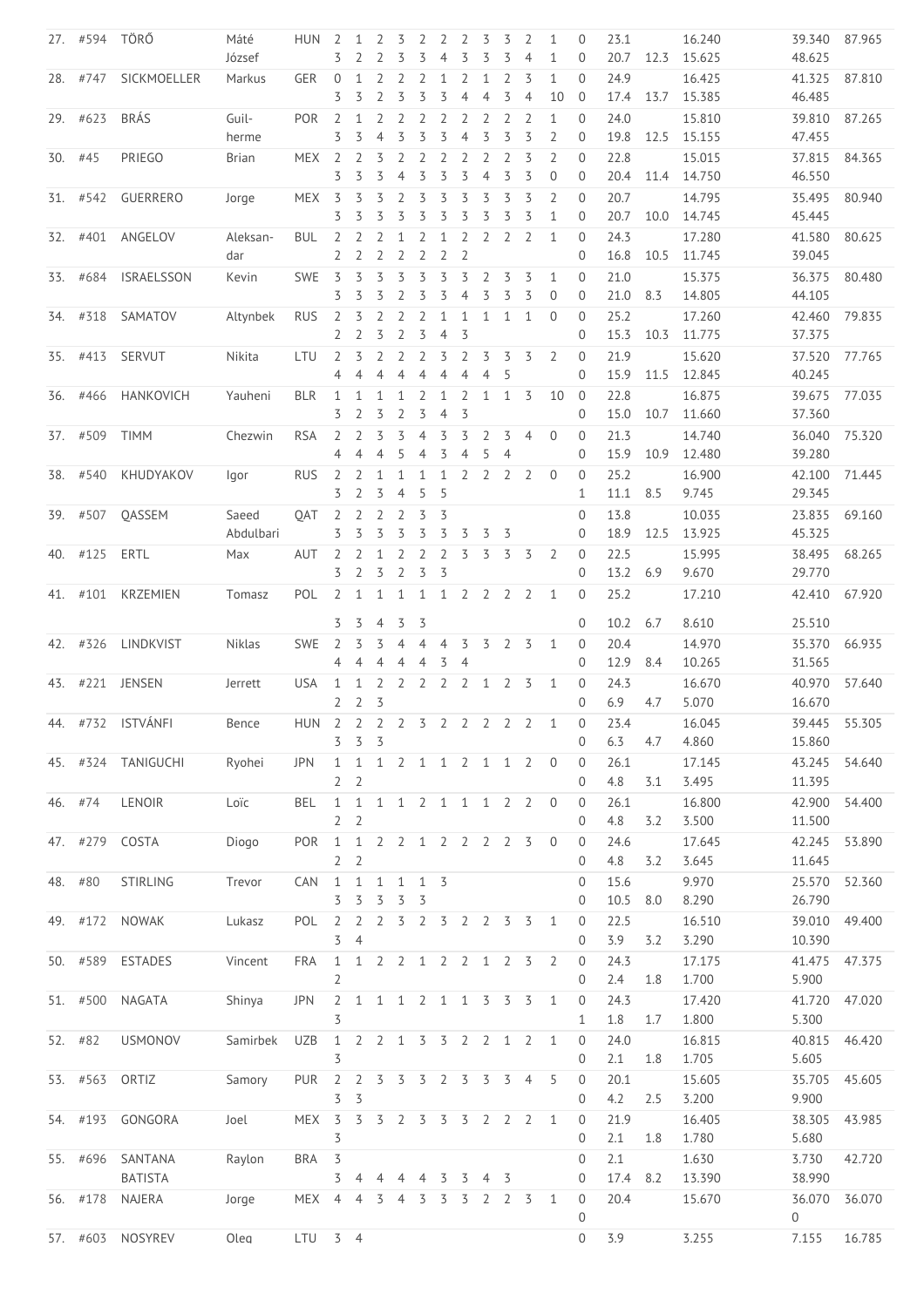|     | 27. #594 TÖRŐ |                    | Máté<br>József | <b>HUN</b>              | 2<br>3                        | 1                              | 2                                | 3<br>3                           | 2<br>3                      | 2<br>$\overline{4}$ | 2<br>3              | 3<br>3         | 3<br>3         | 2<br>$\overline{4}$ | 1<br>$\mathbf{1}$ | 0<br>0                     | 23.1<br>20.7 | 12.3 | 16.240<br>15.625 | 39.340<br>48.625 | 87.965        |
|-----|---------------|--------------------|----------------|-------------------------|-------------------------------|--------------------------------|----------------------------------|----------------------------------|-----------------------------|---------------------|---------------------|----------------|----------------|---------------------|-------------------|----------------------------|--------------|------|------------------|------------------|---------------|
|     | 28. #747      | SICKMOELLER        | Markus         | <b>GER</b>              | $\mathbf{0}$                  | 1                              | $\overline{2}$                   | $\overline{2}$                   | $\overline{2}$              | $\mathbf{1}$        | $\overline{2}$      | $\mathbf{1}$   | $\overline{2}$ | 3                   | $\mathbf{1}$      | $\Omega$                   | 24.9         |      | 16.425           | 41.325           | 87.810        |
|     |               |                    |                |                         | 3                             | 3                              | 2                                | 3                                | 3                           | 3                   | $\overline{4}$      | $\overline{4}$ | 3              | $\overline{4}$      | 10                | $\mathbf{0}$               | 17.4         | 13.7 | 15.385           | 46.485           |               |
|     | 29. #623      | <b>BRÁS</b>        | Guil-          | <b>POR</b>              | 2                             | 1                              | $\overline{2}$                   | $\overline{2}$                   | 2                           | $\overline{2}$      | 2                   | 2              | 2              | $\overline{2}$      | $\mathbf{1}$      | $\Omega$                   | 24.0         |      | 15.810           | 39.810           | 87.265        |
|     |               |                    | herme          |                         | 3                             | 3                              | $\overline{4}$                   | 3                                | 3                           | 3                   | $\overline{4}$      | 3              | 3              | 3                   | $\overline{2}$    | $\mathbf{0}$               | 19.8         | 12.5 | 15.155           | 47.455           |               |
|     | $30.$ #45     | PRIEGO             | Brian          | <b>MEX</b>              | $\overline{2}$                | 2                              | 3                                | $\overline{2}$                   | $\overline{2}$              | $\overline{2}$      | 2                   | $\overline{2}$ | 2              | 3                   | $\overline{2}$    | $\Omega$                   | 22.8         |      | 15.015           | 37.815           | 84.365        |
|     |               |                    |                |                         | 3                             | 3                              | 3                                | $\overline{4}$                   | 3                           | 3                   | 3                   | $\overline{4}$ | 3              | 3                   | $\mathbf 0$       | $\mathbf{0}$               | 20.4         | 11.4 | 14.750           | 46.550           |               |
|     | 31. #542      | GUERRERO           | Jorge          | <b>MEX</b>              | 3                             | 3                              | 3                                | 2                                | 3                           | 3                   | 3                   | 3              | 3              | 3                   | $\overline{2}$    | $\Omega$                   | 20.7         |      | 14.795           | 35.495           | 80.940        |
|     |               |                    |                |                         | 3                             | 3                              | 3                                | 3                                | 3                           | 3                   | 3                   | 3              | 3              | 3                   | $\mathbf{1}$      | $\mathbf{0}$               | 20.7         | 10.0 | 14.745           | 45.445           |               |
|     | 32. #401      | ANGELOV            | Aleksan-       | <b>BUL</b>              | $\overline{2}$                | 2                              | $\overline{2}$                   | 1                                | $\overline{2}$              | $\mathbf{1}$        | $\overline{2}$      | $\overline{2}$ | 2              | 2                   | 1                 | $\overline{0}$             | 24.3         |      | 17.280           | 41.580           | 80.625        |
|     |               |                    | dar            |                         | 2                             | 2                              | 2                                | $\overline{2}$                   | $\overline{2}$              | $\overline{2}$      | $\overline{2}$      |                |                |                     |                   | 0                          | 16.8         | 10.5 | 11.745           | 39.045           |               |
| 33. | #684          | <b>ISRAELSSON</b>  | Kevin          | <b>SWE</b>              | 3                             | 3                              | 3                                | 3                                | 3                           | 3                   | 3                   | $\overline{2}$ | 3              | 3                   | $\mathbf{1}$      | $\Omega$                   | 21.0         |      | 15.375           | 36.375           | 80.480        |
|     |               |                    |                |                         | 3                             | 3                              | 3                                | 2                                | 3                           | 3                   | $\overline{4}$      | 3              | 3              | 3                   | $\mathbf 0$       | $\mathbf{0}$               | 21.0         | 8.3  | 14.805           | 44.105           |               |
|     | 34. #318      | SAMATOV            | Altynbek       | <b>RUS</b>              | $\overline{2}$                | 3                              | $\overline{2}$                   | $\overline{2}$                   | $\overline{2}$              | $\mathbf{1}$        | $\mathbf{1}$        | $\mathbf{1}$   | 1              | 1                   | $\Omega$          | $\overline{0}$             | 25.2         |      | 17.260           | 42.460           | 79.835        |
|     |               |                    |                |                         | $\overline{2}$                | $\overline{2}$                 | 3                                | $\overline{2}$                   | 3                           | $\overline{4}$      | 3                   |                |                |                     |                   | 0                          | 15.3         | 10.3 | 11.775           | 37.375           |               |
|     | 35. #413      | SERVUT             | Nikita         | LTU                     | 2                             | 3                              | $\overline{2}$                   | $\overline{2}$                   | 2                           | 3                   | 2                   | 3              | 3              | 3                   | $\overline{2}$    | $\overline{0}$             | 21.9         |      | 15.620           | 37.520           | 77.765        |
|     |               |                    |                |                         | 4                             | $\overline{4}$                 | $\overline{4}$                   | 4                                | $\overline{4}$              | $\overline{4}$      | $\overline{4}$      | $\overline{4}$ | 5              |                     |                   | 0                          | 15.9         | 11.5 | 12.845           | 40.245           |               |
|     | 36. #466      | HANKOVICH          | Yauheni        | <b>BLR</b>              | $\mathbf{1}$                  | 1                              | 1                                | $\mathbf{1}$                     | 2                           | $\mathbf{1}$        | 2                   | $\mathbf{1}$   | 1              | 3                   | 10                | $\overline{0}$             | 22.8         |      | 16.875           | 39.675           | 77.035        |
|     |               |                    |                |                         | 3                             | 2                              | 3                                | $\overline{2}$                   | 3                           | $\overline{4}$      | 3                   |                |                |                     |                   | $\Omega$                   | 15.0         | 10.7 | 11.660           | 37.360           |               |
|     | 37. #509      | <b>TIMM</b>        | Chezwin        | <b>RSA</b>              | $\overline{2}$                | 2                              | 3                                | 3                                | $\overline{4}$              | 3                   | 3                   | 2              | 3              | $\overline{4}$      | $\overline{0}$    | $\Omega$                   | 21.3         |      | 14.740           | 36.040           | 75.320        |
|     |               |                    |                |                         | 4                             | $\overline{4}$                 | 4                                | 5                                | 4                           | 3                   | $\overline{4}$      | 5              | $\overline{4}$ |                     |                   | $\mathbf{0}$               | 15.9         | 10.9 | 12.480           | 39.280           |               |
|     | 38. #540      | KHUDYAKOV          | lgor           | <b>RUS</b>              | 2                             | 2                              | $\mathbf{1}$                     | $\mathbf{1}$                     | $\mathbf{1}$                | $\mathbf{1}$        | $\overline{2}$      | 2              | 2              | 2                   | $\mathbf{0}$      | $\overline{0}$             | 25.2         |      | 16.900           | 42.100           | 71.445        |
|     |               |                    |                |                         | 3                             | $\overline{2}$                 | 3                                | $\overline{4}$                   | 5                           | 5                   |                     |                |                |                     |                   | 1                          | 11.1         | 8.5  | 9.745            | 29.345           |               |
|     | 39. #507      | QASSEM             | Saeed          | <b>OAT</b>              | 2                             | 2                              | $\overline{2}$                   | $\overline{2}$                   | 3                           | 3                   |                     |                |                |                     |                   | 0                          | 13.8         |      | 10.035           | 23.835           | 69.160        |
|     |               |                    | Abdulbari      |                         | 3                             | 3                              | 3                                | 3                                | 3                           | 3                   | 3                   | 3              | 3              |                     |                   | 0                          | 18.9         | 12.5 | 13.925           | 45.325           |               |
|     | 40. #125      | ERTL               | Max            | AUT                     | 2                             | 2                              | $\mathbf{1}$                     | $\overline{2}$                   | $\overline{2}$              | $\overline{2}$      | 3                   | 3              | 3              | $\overline{3}$      | 2                 | $\overline{0}$             | 22.5         |      | 15.995           | 38.495           | 68.265        |
|     |               |                    |                |                         | 3                             | $\overline{2}$                 | 3                                | 2                                | 3                           | 3                   |                     |                |                |                     |                   | $\Omega$                   | 13.2         | 6.9  | 9.670            | 29.770           |               |
|     | 41. #101      | <b>KRZEMIEN</b>    | Tomasz         | POL                     | $\overline{2}$                | $\mathbf{1}$                   | $\mathbf{1}$                     | $\mathbf{1}$                     | $\mathbf{1}$                | $\mathbf{1}$        | $\overline{2}$      | $\overline{2}$ | $\overline{2}$ | 2                   | 1                 | $\overline{0}$             | 25.2         |      | 17.210           | 42.410           | 67.920        |
|     |               |                    |                |                         | 3                             | 3                              | $\overline{4}$                   | 3                                | 3                           |                     |                     |                |                |                     |                   | $\Omega$                   | 10.2         | 6.7  | 8.610            | 25.510           |               |
|     |               |                    |                |                         |                               |                                |                                  |                                  |                             |                     |                     |                |                |                     |                   |                            |              |      |                  |                  |               |
| 42. | #326          | LINDKVIST          | Niklas         | <b>SWE</b>              | 2<br>4                        | 3<br>$\overline{4}$            | 3<br>$\overline{4}$              | $\overline{4}$<br>$\overline{4}$ | $\overline{4}$<br>4         | $\overline{4}$<br>3 | 3<br>$\overline{4}$ | 3              | 2              | 3                   | 1                 | $\mathbf{0}$<br>$\Omega$   | 20.4<br>12.9 | 8.4  | 14.970<br>10.265 | 35.370<br>31.565 | 66.935        |
|     |               |                    |                |                         |                               |                                |                                  |                                  |                             |                     |                     |                |                |                     |                   |                            |              |      |                  |                  |               |
|     |               | 43. #221 JENSEN    | Jerrett        | <b>USA</b>              | $\mathbf 1$<br>$\overline{2}$ | $\mathbf{1}$<br>$\overline{2}$ | $\overline{2}$<br>$\overline{3}$ |                                  | $2 \quad 2 \quad 2 \quad 2$ |                     |                     | $\mathbf{1}$   | $\overline{2}$ | $\overline{3}$      | 1                 | $\overline{0}$<br>$\Omega$ | 24.3<br>6.9  | 4.7  | 16.670<br>5.070  | 40.970<br>16.670 | 57.640        |
|     |               |                    |                |                         |                               |                                |                                  |                                  |                             |                     |                     |                |                |                     |                   |                            |              |      |                  |                  |               |
| 44. | #732          | ISTVÁNFI           | Bence          | HUN 2 2 2 2 3 2 2 2 2 2 |                               | $3 \quad 3 \quad 3$            |                                  |                                  |                             |                     |                     |                |                |                     | 1                 | $\Omega$<br>0              | 23.4<br>6.3  | 4.7  | 16.045<br>4.860  | 39.445<br>15.860 | 55.305        |
|     |               | 45. #324 TANIGUCHI | Ryohei         | <b>JPN</b>              | $1\quad1$                     |                                |                                  |                                  |                             |                     |                     |                |                | 1 2 1 1 2 1 1 2 0   |                   | $\mathbf{0}$               | 26.1         |      | 17.145           |                  | 43.245 54.640 |
|     |               |                    |                |                         | 2                             | $\overline{2}$                 |                                  |                                  |                             |                     |                     |                |                |                     |                   | 0                          | 4.8          | 3.1  | 3.495            | 11.395           |               |
|     | 46. #74       | LENOIR             | Loïc           | BEL                     | 1                             | $\mathbf{1}$                   |                                  |                                  |                             |                     | 1 1 2 1 1 1 2 2     |                |                |                     | $\overline{0}$    | 0                          | 26.1         |      | 16.800           | 42.900           | 54.400        |
|     |               |                    |                |                         | 2 <sub>2</sub>                |                                |                                  |                                  |                             |                     |                     |                |                |                     |                   | 0                          | 4.8          | 3.2  | 3.500            | 11.500           |               |
|     | 47. #279      | COSTA              | Diogo          | POR                     |                               |                                |                                  |                                  |                             |                     | 1 1 2 2 1 2 2 2 2 3 |                |                |                     | $\overline{0}$    | $\mathbf{0}$               | 24.6         |      | 17.645           | 42.245           | 53.890        |
|     |               |                    |                |                         | 2 <sub>2</sub>                |                                |                                  |                                  |                             |                     |                     |                |                |                     |                   | 0                          | 4.8          | 3.2  | 3.645            | 11.645           |               |
|     | 48. #80       | <b>STIRLING</b>    | Trevor         | CAN                     | $\mathbf{1}$                  | $\mathbf{1}$                   | 1                                | 1                                | 1                           | 3                   |                     |                |                |                     |                   | $\Omega$                   | 15.6         |      | 9.970            | 25.570           | 52.360        |
|     |               |                    |                |                         | 3                             | 3                              | $\overline{3}$                   | 3                                | 3                           |                     |                     |                |                |                     |                   | $\mathbf{0}$               | 10.5         | 8.0  | 8.290            | 26.790           |               |
|     |               | 49. #172 NOWAK     | Lukasz         | POL                     | $\overline{2}$                | $\overline{2}$                 | 2 <sub>5</sub>                   |                                  | $\overline{2}$              |                     | 3 2 2 3 3           |                |                |                     | $\mathbf{1}$      | $\mathbf{0}$               | 22.5         |      | 16.510           | 39.010           | 49.400        |
|     |               |                    |                |                         | 3                             | $\overline{4}$                 |                                  |                                  |                             |                     |                     |                |                |                     |                   | $\mathbf{0}$               | 3.9          | 3.2  | 3.290            | 10.390           |               |
|     | 50. #589      | ESTADES            | Vincent        | <b>FRA</b>              | 1                             |                                |                                  |                                  |                             |                     | 1 2 2 1 2 2 1 2 3   |                |                |                     | 2                 | $\mathbf{0}$               | 24.3         |      | 17.175           | 41.475           | 47.375        |
|     |               |                    |                |                         | $\overline{2}$                |                                |                                  |                                  |                             |                     |                     |                |                |                     |                   | 0                          | 2.4          | 1.8  | 1.700            | 5.900            |               |
|     |               | 51. #500 NAGATA    | Shinya         | <b>JPN</b>              |                               |                                |                                  |                                  |                             |                     | 2 1 1 1 2 1 1 3 3 3 |                |                |                     | 1                 | $\overline{0}$             | 24.3         |      | 17.420           | 41.720           | 47.020        |
|     |               |                    |                |                         | 3                             |                                |                                  |                                  |                             |                     |                     |                |                |                     |                   | 1                          | 1.8          | 1.7  | 1.800            | 5.300            |               |
|     | 52. #82       | <b>USMONOV</b>     | Samirbek       | <b>UZB</b>              | 1                             |                                |                                  |                                  |                             |                     | 2 2 1 3 3 2 2 1 2   |                |                |                     | 1                 | $\overline{0}$             | 24.0         |      | 16.815           | 40.815           | 46.420        |
|     |               |                    |                |                         | 3                             |                                |                                  |                                  |                             |                     |                     |                |                |                     |                   | 0                          | 2.1          | 1.8  | 1.705            | 5.605            |               |
|     | 53. #563      | ORTIZ              | Samory         | PUR                     | $\overline{2}$                |                                |                                  |                                  |                             |                     | 2 3 3 3 2 3 3 3     |                |                | $\overline{4}$      | 5                 | $\overline{0}$             | 20.1         |      | 15.605           | 35.705           | 45.605        |
|     |               |                    |                |                         | $\overline{3}$                | $\overline{3}$                 |                                  |                                  |                             |                     |                     |                |                |                     |                   | 0                          | 4.2          | 2.5  | 3.200            | 9.900            |               |
|     | 54. #193      | GONGORA            | Joel           | MEX <sub>3</sub>        |                               | 3                              |                                  | 3 2 3 3                          |                             |                     | $\overline{3}$      | $\overline{2}$ | 2 <sub>2</sub> |                     | $\mathbf{1}$      | $\mathbf 0$                | 21.9         |      | 16.405           | 38.305           | 43.985        |
|     |               |                    |                |                         | 3                             |                                |                                  |                                  |                             |                     |                     |                |                |                     |                   | 0                          | 2.1          | 1.8  | 1.780            | 5.680            |               |
|     | 55. #696      | SANTANA            | Raylon         | BRA 3                   |                               |                                |                                  |                                  |                             |                     |                     |                |                |                     |                   | $\mathbf{0}$               | 2.1          |      | 1.630            | 3.730            | 42.720        |
|     |               | <b>BATISTA</b>     |                |                         | 3                             | 4                              | $\overline{4}$                   | $\overline{4}$                   | 4                           | 3                   | 3                   | $\overline{4}$ | 3              |                     |                   | 0                          | 17.4         | 8.2  | 13.390           | 38.990           |               |
|     | 56. #178      | NAJERA             | Jorge          | MEX 4                   |                               |                                | 4 3                              | $\overline{4}$                   | $\overline{3}$              | 3                   | 3                   | $\overline{2}$ | 2 <sub>5</sub> |                     | $\mathbf{1}$      | $\mathbf 0$                | 20.4         |      | 15.670           | 36.070           | 36.070        |
|     |               |                    |                |                         |                               |                                |                                  |                                  |                             |                     |                     |                |                |                     |                   | $\overline{0}$             |              |      |                  | $\overline{0}$   |               |
|     |               | 57. #603 NOSYREV   | Olea           | $LTU$ 3 4               |                               |                                |                                  |                                  |                             |                     |                     |                |                |                     |                   | $\overline{0}$             | 3.9          |      | 3.255            | 7.155            | 16.785        |
|     |               |                    |                |                         |                               |                                |                                  |                                  |                             |                     |                     |                |                |                     |                   |                            |              |      |                  |                  |               |